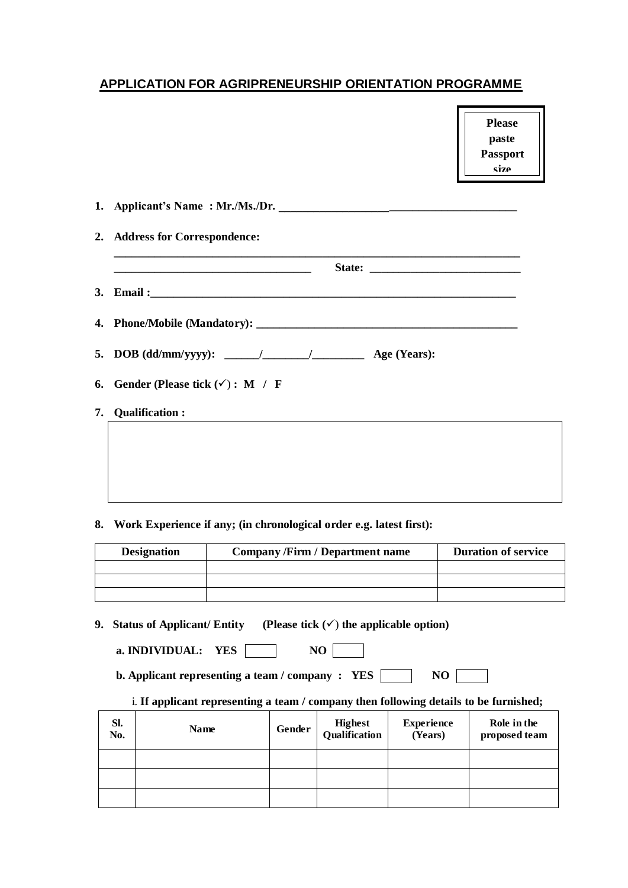## **APPLICATION FOR AGRIPRENEURSHIP ORIENTATION PROGRAMME**

**Please paste Passport size** 

**Photograph**

| 6. Gender (Please tick $(\checkmark)$ : M / F |
|-----------------------------------------------|
| 7. Qualification:                             |

**8. Work Experience if any; (in chronological order e.g. latest first):**

| <b>Designation</b> | <b>Company /Firm / Department name</b> | <b>Duration of service</b> |  |
|--------------------|----------------------------------------|----------------------------|--|
|                    |                                        |                            |  |
|                    |                                        |                            |  |
|                    |                                        |                            |  |

**9. Status of Applicant/ Entity** (Please tick  $(\checkmark)$  the applicable option)

**a. INDIVIDUAL:** YES **NO** 

**b. Applicant representing a team / company : YES NO** 

## i. **If applicant representing a team / company then following details to be furnished;**

| SI.<br>No. | <b>Name</b> | Gender | Highest<br>Qualification | <b>Experience</b><br>(Years) | Role in the<br>proposed team |
|------------|-------------|--------|--------------------------|------------------------------|------------------------------|
|            |             |        |                          |                              |                              |
|            |             |        |                          |                              |                              |
|            |             |        |                          |                              |                              |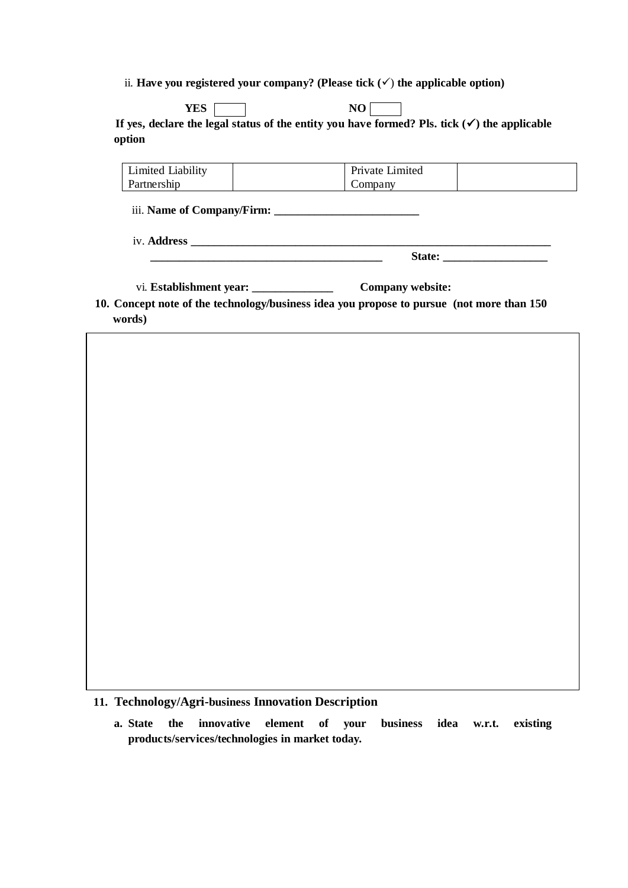ii. **Have you registered your company?** (Please tick  $(\checkmark)$  the applicable option)

**YES** NO If yes, declare the legal status of the entity you have formed? Pls. tick  $(\checkmark)$  the applicable **option**

| Limited Liability | Private Limited |  |
|-------------------|-----------------|--|
| Partnership       | company         |  |

 **\_\_\_\_\_\_\_\_\_\_\_\_\_\_\_\_\_\_\_\_\_\_\_\_\_\_\_\_\_\_\_\_\_\_\_\_\_\_\_\_ State: \_\_\_\_\_\_\_\_\_\_\_\_\_\_\_\_\_\_**

iii. **Name of Company/Firm: \_\_\_\_\_\_\_\_\_\_\_\_\_\_\_\_\_\_\_\_\_\_\_\_\_**

iv. **Address \_\_\_\_\_\_\_\_\_\_\_\_\_\_\_\_\_\_\_\_\_\_\_\_\_\_\_\_\_\_\_\_\_\_\_\_\_\_\_\_\_\_\_\_\_\_\_\_\_\_\_\_\_\_\_\_\_\_\_\_\_\_**

| vi. Establishment year: | <b>Company website:</b> |
|-------------------------|-------------------------|
|-------------------------|-------------------------|

**10. Concept note of the technology/business idea you propose to pursue (not more than 150 words)** 

**11. Technology/Agri-business Innovation Description** 

**a. State the innovative element of your business idea w.r.t. existing products/services/technologies in market today.**